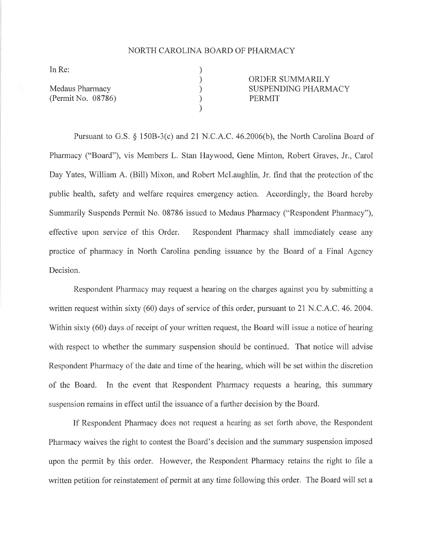## NORTH CAROLINA BOARD OF PHARMACY

) ) ) ) )

In Re:

Medaus Pharmacy (Permit No. 08786) ORDER SUMMARILY SUSPENDING PHARMACY PERMIT

Pursuant to G.S. \$ 1508-3(c) and 2I N.C.A.C. 46.2006(b), the North Carolina Board of Pharmacy ("Board"), vis Members L. Stan Haywood, Gene Minton, Robert Graves, Jr., Carol Day Yates, William A. (Bill) Mixon, and Robert McLaughlin, Jr. find that the protection of the public health, safety and welfare requires emergency action. Accordingly, the Board hereby Summarily Suspends Permit No. 08786 issued to Medaus Pharmacy ("Respondent Pharmacy"), effective upon service of this Order. Respondent Pharmacy shall immediately cease any practice of pharmacy in North Carolina pending issuance by the Board of a Final Agency Decision.

Respondent Pharmacy may request a hearing on the charges against you by submitting a written request within sixty (60) days of service of this order, pursuant to 21 N.C.A.C. 46.2004. Within sixty (60) days of receipt of your written request, the Board will issue a notice of hearing with respect to whether the summary suspension should be continued. That notice will advise Respondent Pharmacy of the date and time of the hearing, which will be set within the discretion of the Board. In the event that Respondent Pharmacy requests a hearing, this summary suspension remains in effect until the issuance of a further decision by the Board.

If Respondent Pharmacy does not request a hearing as set forth above, the Respondent Pharmacy waives the right to contest the Board's decision and the summary suspension imposed upon the permit by this order. However, the Respondent Pharmacy retains the right to file <sup>a</sup> written petition for reinstatement of permit at any time following this order. The Board will set <sup>a</sup>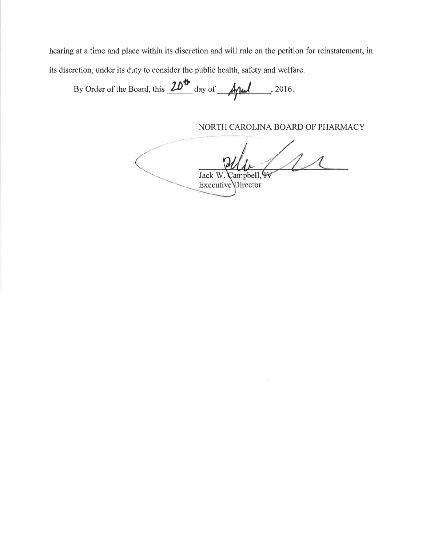hearing at a time and place within its discretion and will rule on the petition for reinstatement, in its discretion, under its duty to consider the public health, safety and welfare.

By Order of the Board, this  $\frac{20^{\circ}}{200}$  day of  $\frac{4}{10}$ . 2016. I

NORTH CAROLINA BOARD OF PHARMACY

 $\left(\Lambda\right)$ Jack W. Campbell, 4 Executive Director